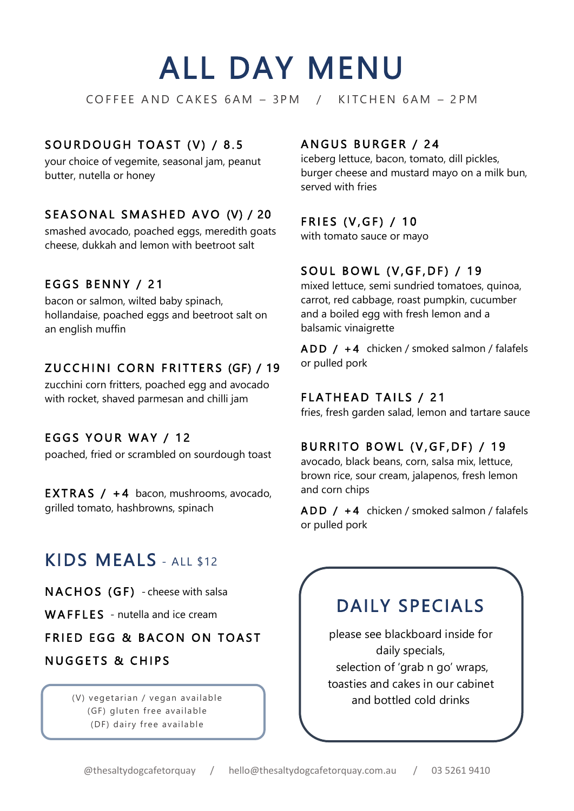# ALL DAY MENU

COFFEE AND CAKES 6AM - 3PM / KITCHEN 6AM - 2PM

## SOURDOUGH TOAST (V) / 8.5

your choice of vegemite, seasonal jam, peanut butter, nutella or honey

## SEASONAL SMASHED AVO (V) / 20

smashed avocado, poached eggs, meredith goats cheese, dukkah and lemon with beetroot salt

#### EGGS BENNY / 21

bacon or salmon, wilted baby spinach, hollandaise, poached eggs and beetroot salt on an english muffin

## ZUCCHINI CORN FRITTERS (GF) / 19

zucchini corn fritters, poached egg and avocado with rocket, shaved parmesan and chilli jam

#### EGGS YOUR WAY / 12

poached, fried or scrambled on sourdough toast

**EXTRAS** /  $+4$  bacon, mushrooms, avocado, grilled tomato, hashbrowns, spinach

# KIDS MEALS - ALL \$12

NACHOS (GF) - cheese with salsa

WAFFLES - nutella and ice cream

**FRIED EGG & BACON ON TOAST** 

# **NUGGETS & CHIPS**

ì

(GF) gluten free available (DF) dairy free available

#### ANGUS BURGER / 24

iceberg lettuce, bacon, tomato, dill pickles, burger cheese and mustard mayo on a milk bun, served with fries

#### FRIES (V, GF) / 10

with tomato sauce or mayo

## SOUL BOWL (V, GF, DF) / 19

mixed lettuce, semi sundried tomatoes, quinoa, carrot, red cabbage, roast pumpkin, cucumber and a boiled egg with fresh lemon and a balsamic vinaigrette

ADD / +4 chicken / smoked salmon / falafels or pulled pork

#### FLATHEAD TAILS / 21

fries, fresh garden salad, lemon and tartare sauce

#### BURRITO BOWL (V, GF, DF) / 19

avocado, black beans, corn, salsa mix, lettuce, brown rice, sour cream, jalapenos, fresh lemon and corn chips

 $ADD / + 4$  chicken / smoked salmon / falafels or pulled pork

# DAILY SPECIALS

please see blackboard inside for daily specials, selection of 'grab n go' wraps, toasties and cakes in our cabinet (V) vegetarian / vegan available **and bottled cold drinks**